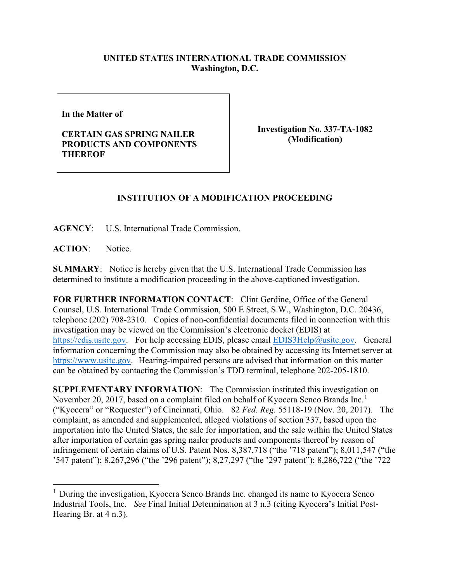## **UNITED STATES INTERNATIONAL TRADE COMMISSION Washington, D.C.**

**In the Matter of** 

**CERTAIN GAS SPRING NAILER PRODUCTS AND COMPONENTS THEREOF**

**Investigation No. 337-TA-1082 (Modification)**

## **INSTITUTION OF A MODIFICATION PROCEEDING**

**AGENCY**: U.S. International Trade Commission.

ACTION: Notice.

**SUMMARY**: Notice is hereby given that the U.S. International Trade Commission has determined to institute a modification proceeding in the above-captioned investigation.

**FOR FURTHER INFORMATION CONTACT**: Clint Gerdine, Office of the General Counsel, U.S. International Trade Commission, 500 E Street, S.W., Washington, D.C. 20436, telephone (202) 708-2310. Copies of non-confidential documents filed in connection with this investigation may be viewed on the Commission's electronic docket (EDIS) at [https://edis.usitc.gov.](https://edis.usitc.gov/) For help accessing EDIS, please email [EDIS3Help@usitc.gov.](mailto:EDIS3Help@usitc.gov) General information concerning the Commission may also be obtained by accessing its Internet server at [https://www.usitc.gov.](https://www.usitc.gov/) Hearing-impaired persons are advised that information on this matter can be obtained by contacting the Commission's TDD terminal, telephone 202-205-1810.

**SUPPLEMENTARY INFORMATION:** The Commission instituted this investigation on November 20, 20[1](#page-0-0)7, based on a complaint filed on behalf of Kyocera Senco Brands Inc.<sup>1</sup> ("Kyocera" or "Requester") of Cincinnati, Ohio. 82 *Fed. Reg.* 55118-19 (Nov. 20, 2017). The complaint, as amended and supplemented, alleged violations of section 337, based upon the importation into the United States, the sale for importation, and the sale within the United States after importation of certain gas spring nailer products and components thereof by reason of infringement of certain claims of U.S. Patent Nos. 8,387,718 ("the '718 patent"); 8,011,547 ("the '547 patent"); 8,267,296 ("the '296 patent"); 8,27,297 ("the '297 patent"); 8,286,722 ("the '722

<span id="page-0-0"></span> $<sup>1</sup>$  During the investigation, Kyocera Senco Brands Inc. changed its name to Kyocera Senco</sup> Industrial Tools, Inc. *See* Final Initial Determination at 3 n.3 (citing Kyocera's Initial Post-Hearing Br. at 4 n.3).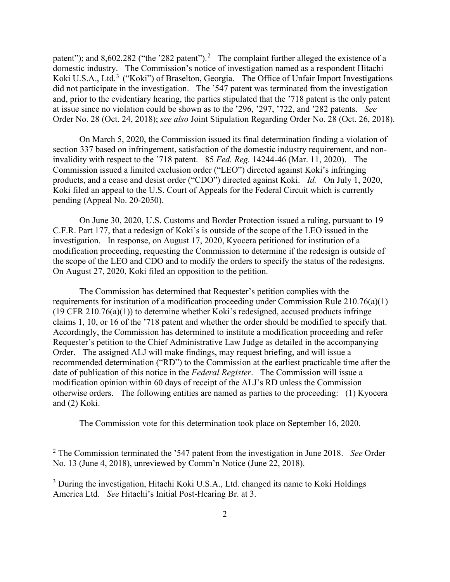patent"); and 8,60[2](#page-1-0),282 ("the '282 patent").<sup>2</sup> The complaint further alleged the existence of a domestic industry. The Commission's notice of investigation named as a respondent Hitachi Koki U.S.A., Ltd.<sup>[3](#page-1-1)</sup> ("Koki") of Braselton, Georgia. The Office of Unfair Import Investigations did not participate in the investigation. The '547 patent was terminated from the investigation and, prior to the evidentiary hearing, the parties stipulated that the '718 patent is the only patent at issue since no violation could be shown as to the '296, '297, '722, and '282 patents. *See* Order No. 28 (Oct. 24, 2018); *see also* Joint Stipulation Regarding Order No. 28 (Oct. 26, 2018).

On March 5, 2020, the Commission issued its final determination finding a violation of section 337 based on infringement, satisfaction of the domestic industry requirement, and noninvalidity with respect to the '718 patent. 85 *Fed. Reg.* 14244-46 (Mar. 11, 2020). The Commission issued a limited exclusion order ("LEO") directed against Koki's infringing products, and a cease and desist order ("CDO") directed against Koki. *Id.* On July 1, 2020, Koki filed an appeal to the U.S. Court of Appeals for the Federal Circuit which is currently pending (Appeal No. 20-2050).

On June 30, 2020, U.S. Customs and Border Protection issued a ruling, pursuant to 19 C.F.R. Part 177, that a redesign of Koki's is outside of the scope of the LEO issued in the investigation. In response, on August 17, 2020, Kyocera petitioned for institution of a modification proceeding, requesting the Commission to determine if the redesign is outside of the scope of the LEO and CDO and to modify the orders to specify the status of the redesigns. On August 27, 2020, Koki filed an opposition to the petition.

The Commission has determined that Requester's petition complies with the requirements for institution of a modification proceeding under Commission Rule 210.76(a)(1) (19 CFR 210.76(a)(1)) to determine whether Koki's redesigned, accused products infringe claims 1, 10, or 16 of the '718 patent and whether the order should be modified to specify that. Accordingly, the Commission has determined to institute a modification proceeding and refer Requester's petition to the Chief Administrative Law Judge as detailed in the accompanying Order. The assigned ALJ will make findings, may request briefing, and will issue a recommended determination ("RD") to the Commission at the earliest practicable time after the date of publication of this notice in the *Federal Register*. The Commission will issue a modification opinion within 60 days of receipt of the ALJ's RD unless the Commission otherwise orders. The following entities are named as parties to the proceeding: (1) Kyocera and (2) Koki.

The Commission vote for this determination took place on September 16, 2020.

<span id="page-1-0"></span><sup>2</sup> The Commission terminated the '547 patent from the investigation in June 2018. *See* Order No. 13 (June 4, 2018), unreviewed by Comm'n Notice (June 22, 2018).

<span id="page-1-1"></span><sup>&</sup>lt;sup>3</sup> During the investigation, Hitachi Koki U.S.A., Ltd. changed its name to Koki Holdings America Ltd. *See* Hitachi's Initial Post-Hearing Br. at 3.